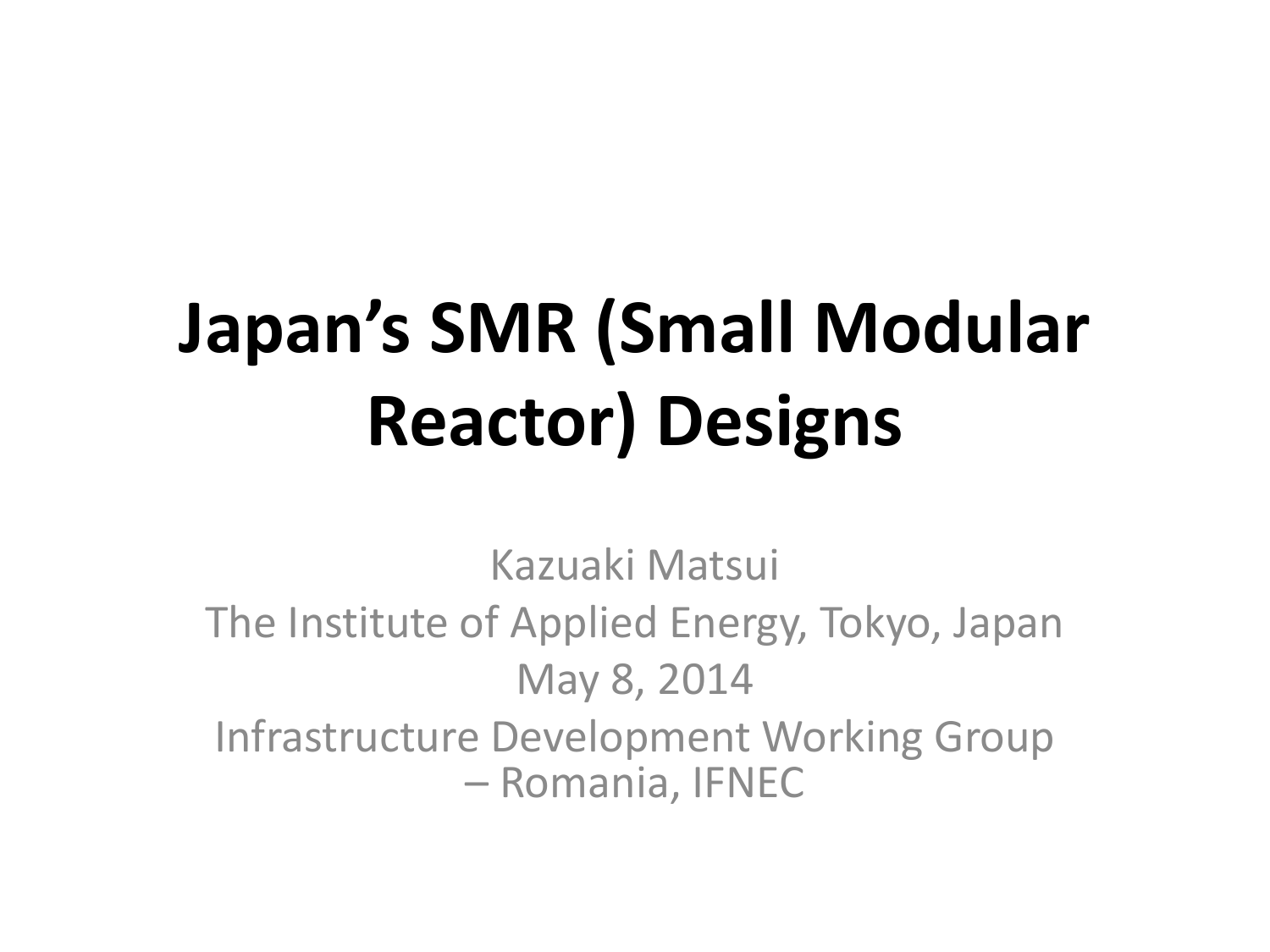# **Japan's SMR (Small Modular Reactor) Designs**

Kazuaki Matsui The Institute of Applied Energy, Tokyo, Japan May 8, 2014 Infrastructure Development Working Group – Romania, IFNEC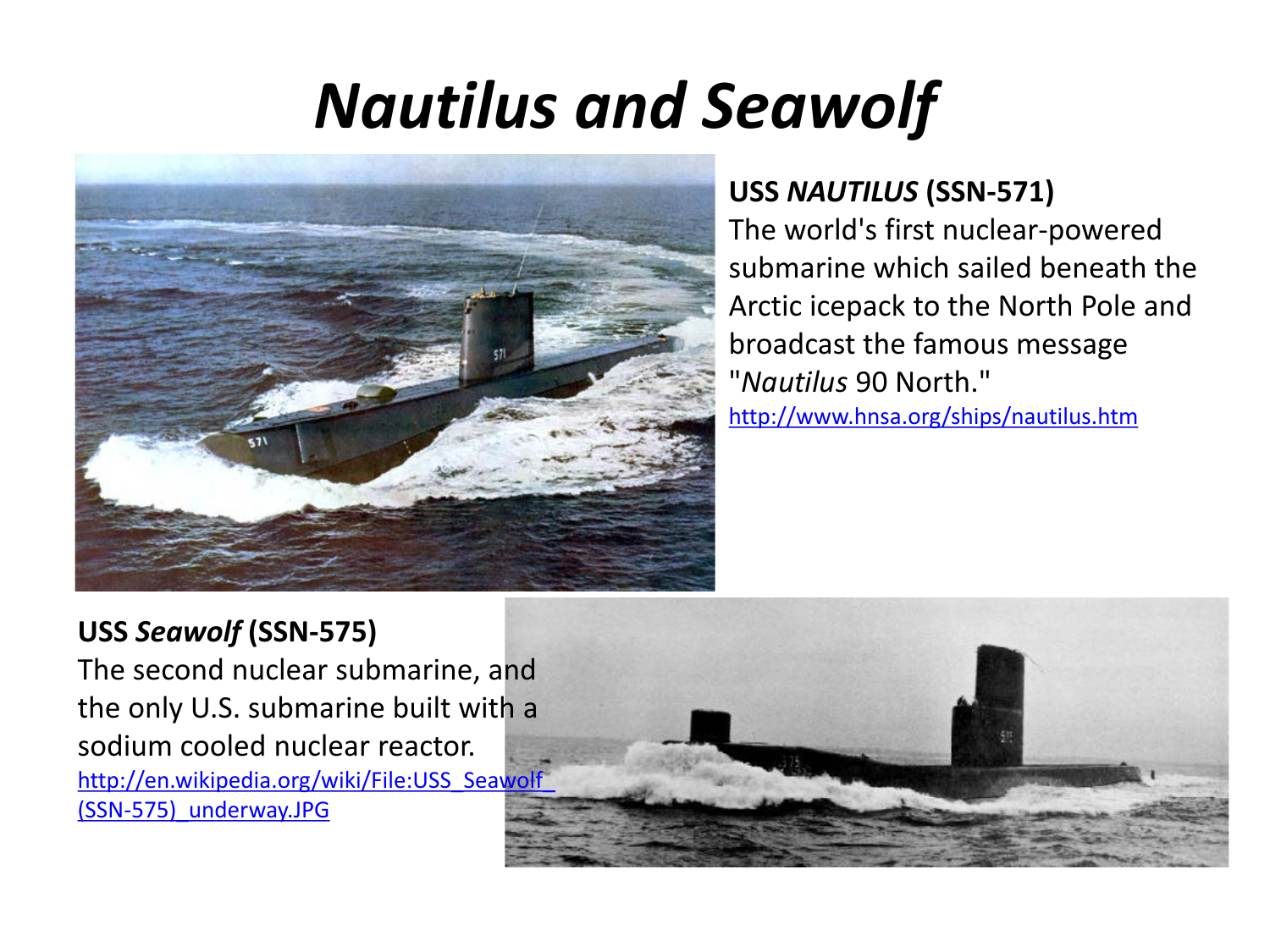# *Nautilus and Seawolf*



#### **USS** *NAUTILUS* **(SSN-571)**

The world's first nuclear-powered submarine which sailed beneath the Arctic icepack to the North Pole and broadcast the famou[s](http://www.hnsa.org/ships/nautilus.htm) message "*Nautilus* 90 North." <http://www.hnsa.org/ships/nautilus.htm>

#### **USS** *Seawolf* **(SSN-575)**

The second nuclear submarine, and the only U.S. submarine built with a sodium cooled nuclear reactor. http://en.wikipedia.org/wiki/File:USS\_Seawolf [\(SSN-575\)\\_underway.JPG](http://en.wikipedia.org/wiki/File:USS_Seawolf_(SSN-575)_underway.JPG)

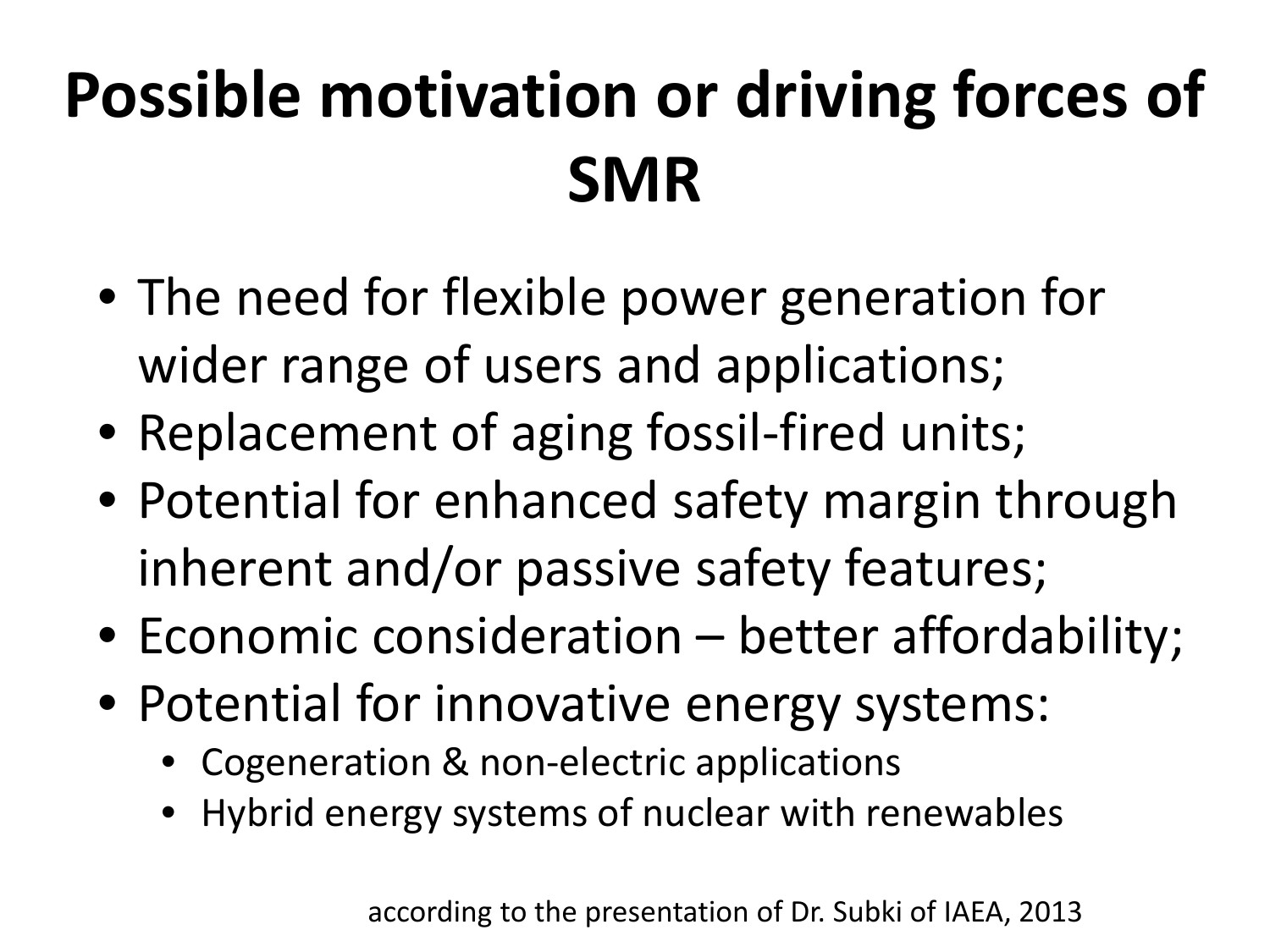# **Possible motivation or driving forces of SMR**

- The need for flexible power generation for wider range of users and applications;
- Replacement of aging fossil-fired units;
- Potential for enhanced safety margin through inherent and/or passive safety features;
- Economic consideration better affordability;
- Potential for innovative energy systems:
	- Cogeneration & non-electric applications
	- Hybrid energy systems of nuclear with renewables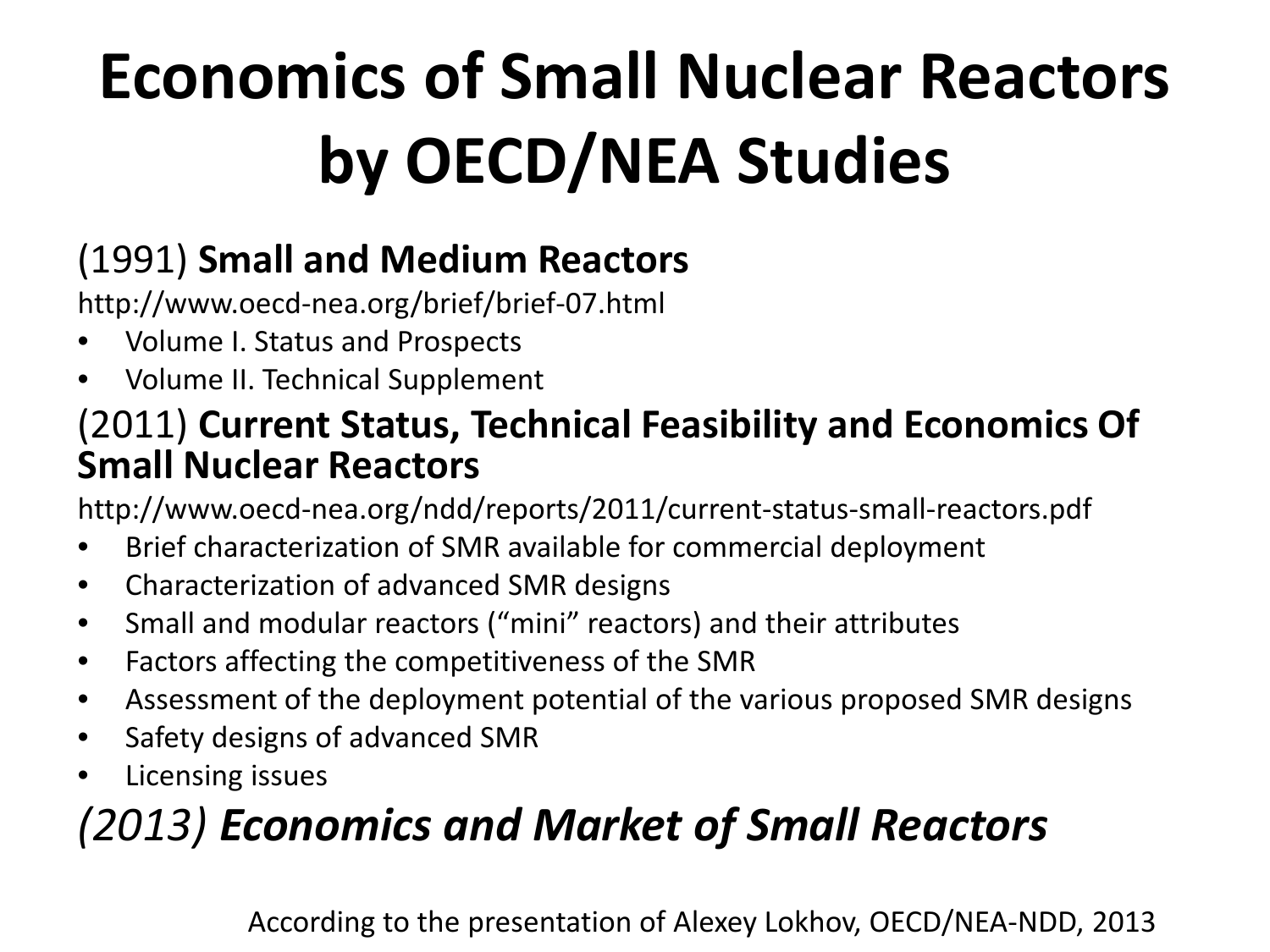# **Economics of Small Nuclear Reactors by OECD/NEA Studies**

### (1991) **Small and Medium Reactors**

http://www.oecd-nea.org/brief/brief-07.html

- Volume I. Status and Prospects
- Volume II. Technical Supplement

#### (2011) **Current Status, Technical Feasibility and Economics Of Small Nuclear Reactors**

http://www.oecd-nea.org/ndd/reports/2011/current-status-small-reactors.pdf

- Brief characterization of SMR available for commercial deployment
- Characterization of advanced SMR designs
- Small and modular reactors ("mini" reactors) and their attributes
- Factors affecting the competitiveness of the SMR
- Assessment of the deployment potential of the various proposed SMR designs
- Safety designs of advanced SMR
- Licensing issues

## *(2013) Economics and Market of Small Reactors*

According to the presentation of Alexey Lokhov, OECD/NEA-NDD, 2013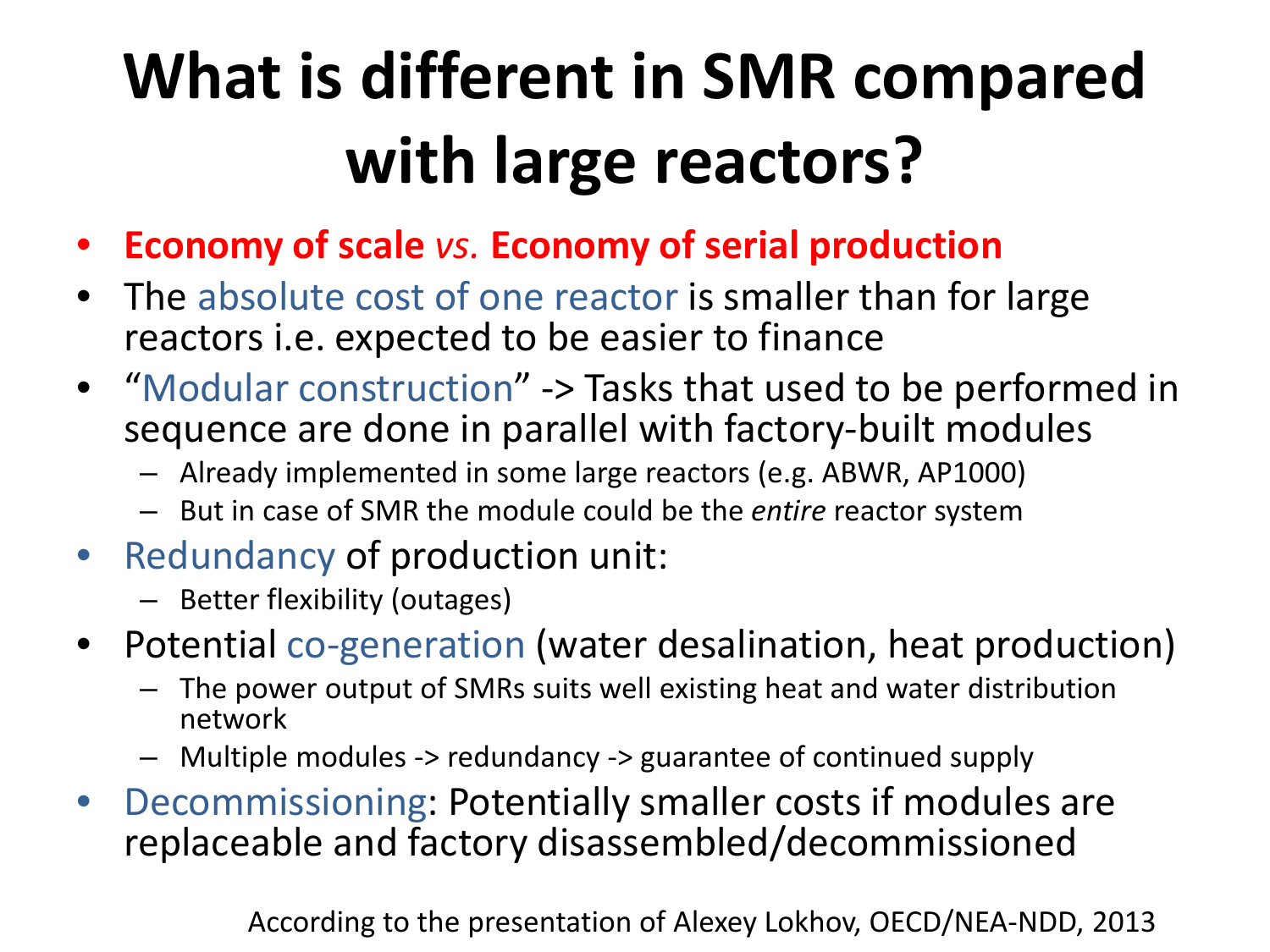# **What is different in SMR compared with large reactors?**

- **Economy of scale** *vs.* **Economy of serial production**
- The absolute cost of one reactor is smaller than for large reactors i.e. expected to be easier to finance
- "Modular construction" -> Tasks that used to be performed in sequence are done in parallel with factory-built modules
	- Already implemented in some large reactors (e.g. ABWR, AP1000)
	- But in case of SMR the module could be the *entire* reactor system
- Redundancy of production unit:
	- Better flexibility (outages)
- Potential co-generation (water desalination, heat production)
	- The power output of SMRs suits well existing heat and water distribution network
	- Multiple modules -> redundancy -> guarantee of continued supply
- Decommissioning: Potentially smaller costs if modules are replaceable and factory disassembled/decommissioned

According to the presentation of Alexey Lokhov, OECD/NEA-NDD, 2013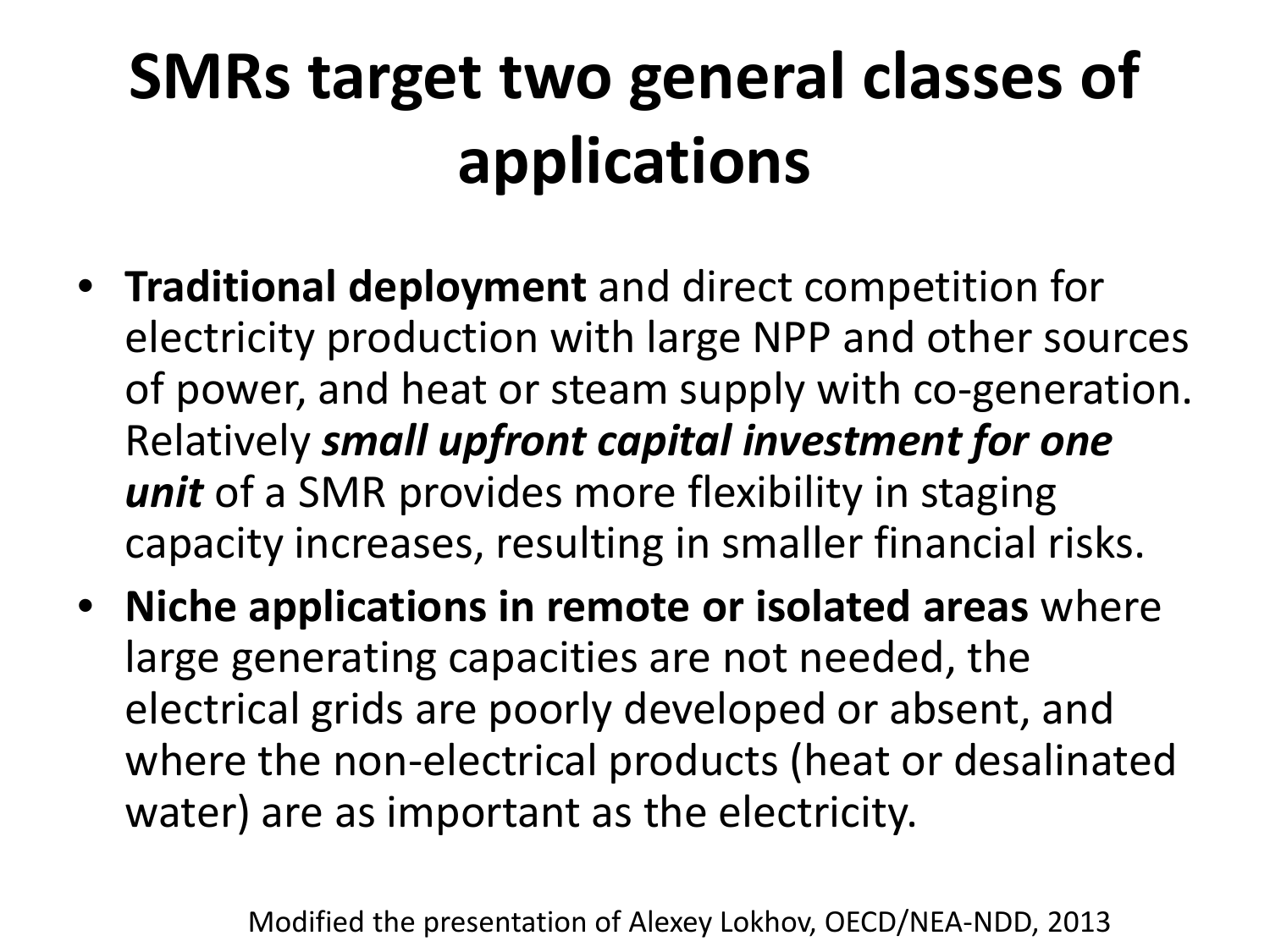# **SMRs target two general classes of applications**

- **Traditional deployment** and direct competition for electricity production with large NPP and other sources of power, and heat or steam supply with co-generation. Relatively *small upfront capital investment for one unit* of a SMR provides more flexibility in staging capacity increases, resulting in smaller financial risks.
- **Niche applications in remote or isolated areas** where large generating capacities are not needed, the electrical grids are poorly developed or absent, and where the non-electrical products (heat or desalinated water) are as important as the electricity.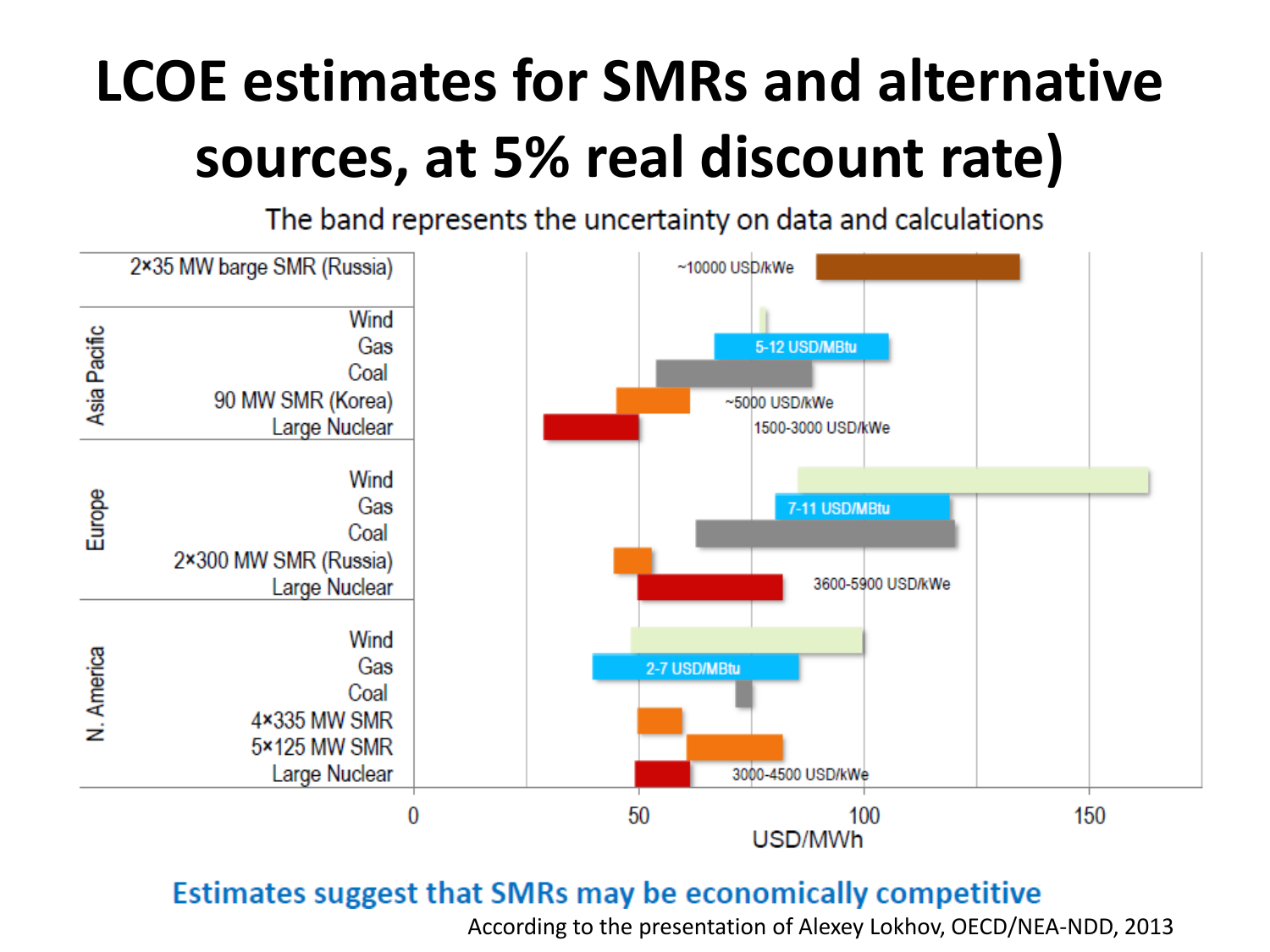## **LCOE estimates for SMRs and alternative sources, at 5% real discount rate)**

The band represents the uncertainty on data and calculations



#### Estimates suggest that SMRs may be economically competitive

According to the presentation of Alexey Lokhov, OECD/NEA-NDD, 2013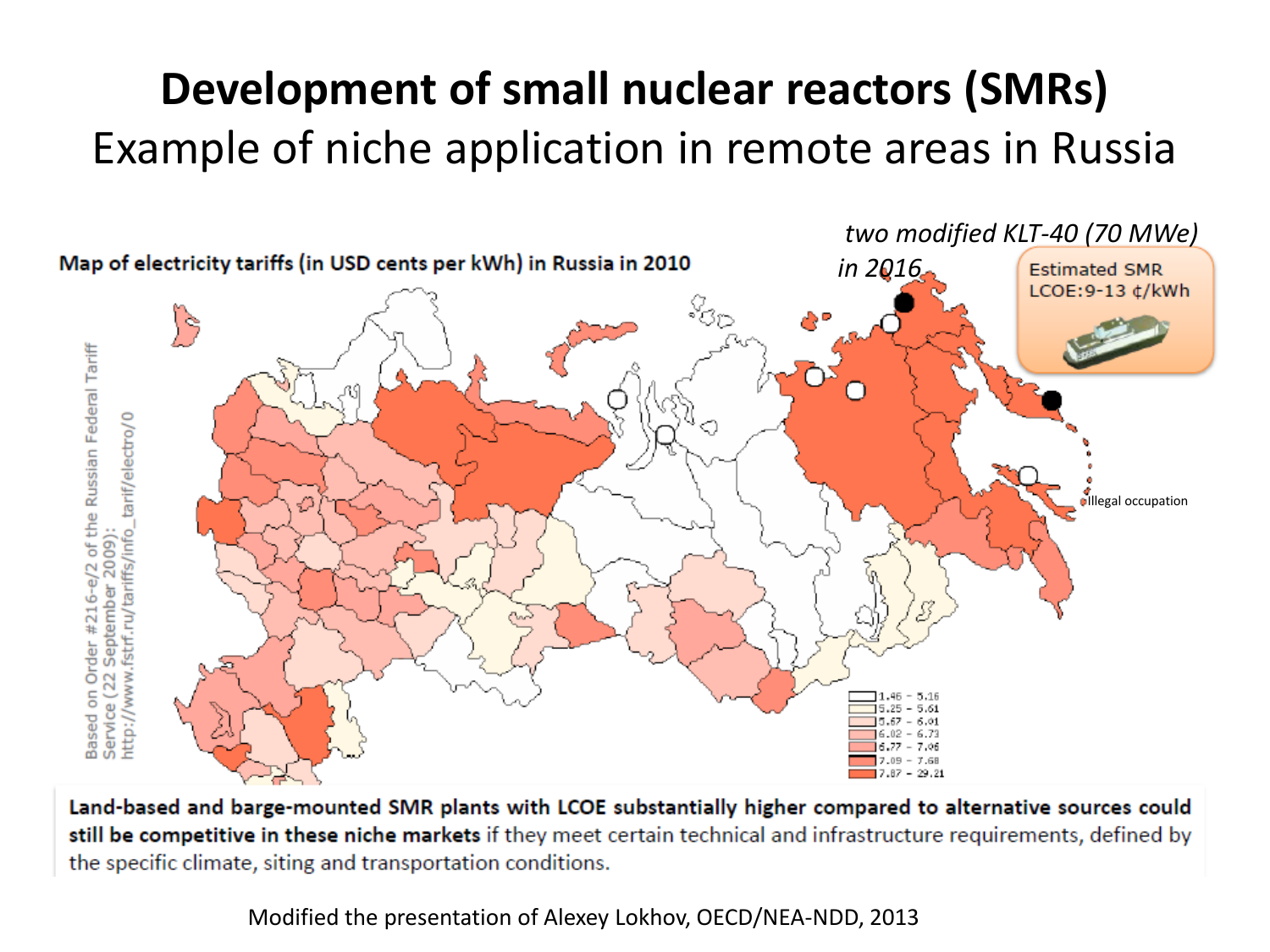### **Development of small nuclear reactors (SMRs)**  Example of niche application in remote areas in Russia



Land-based and barge-mounted SMR plants with LCOE substantially higher compared to alternative sources could still be competitive in these niche markets if they meet certain technical and infrastructure requirements, defined by the specific climate, siting and transportation conditions.

Modified the presentation of Alexey Lokhov, OECD/NEA-NDD, 2013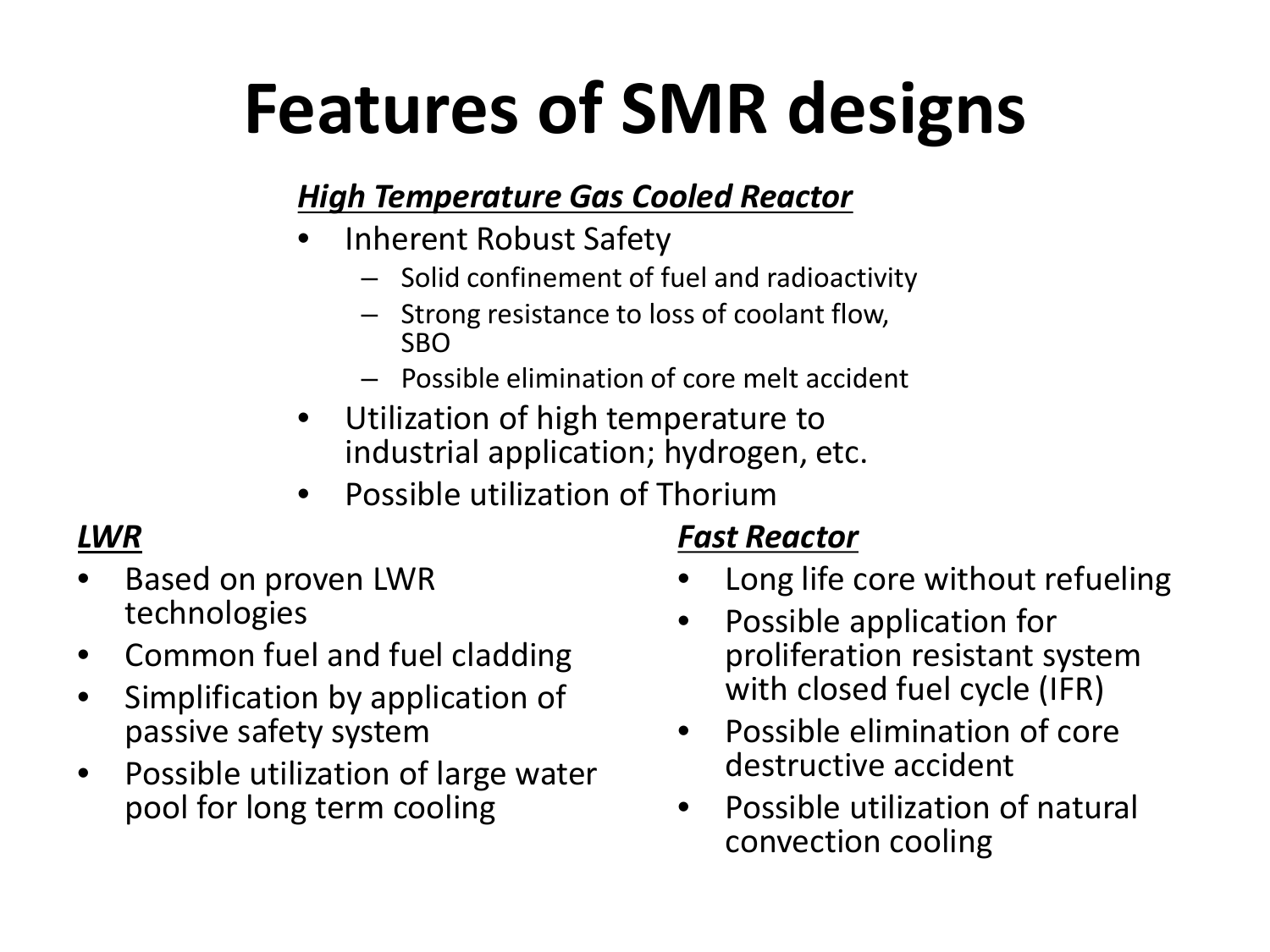# **Features of SMR designs**

#### *High Temperature Gas Cooled Reactor*

- Inherent Robust Safety
	- Solid confinement of fuel and radioactivity
	- Strong resistance to loss of coolant flow, SBO
	- Possible elimination of core melt accident
- Utilization of high temperature to industrial application; hydrogen, etc.
- Possible utilization of Thorium

#### *LWR*

- Based on proven LWR technologies
- Common fuel and fuel cladding
- Simplification by application of passive safety system
- Possible utilization of large water pool for long term cooling

#### *Fast Reactor*

- Long life core without refueling
- Possible application for proliferation resistant system with closed fuel cycle (IFR)
- Possible elimination of core destructive accident
- Possible utilization of natural convection cooling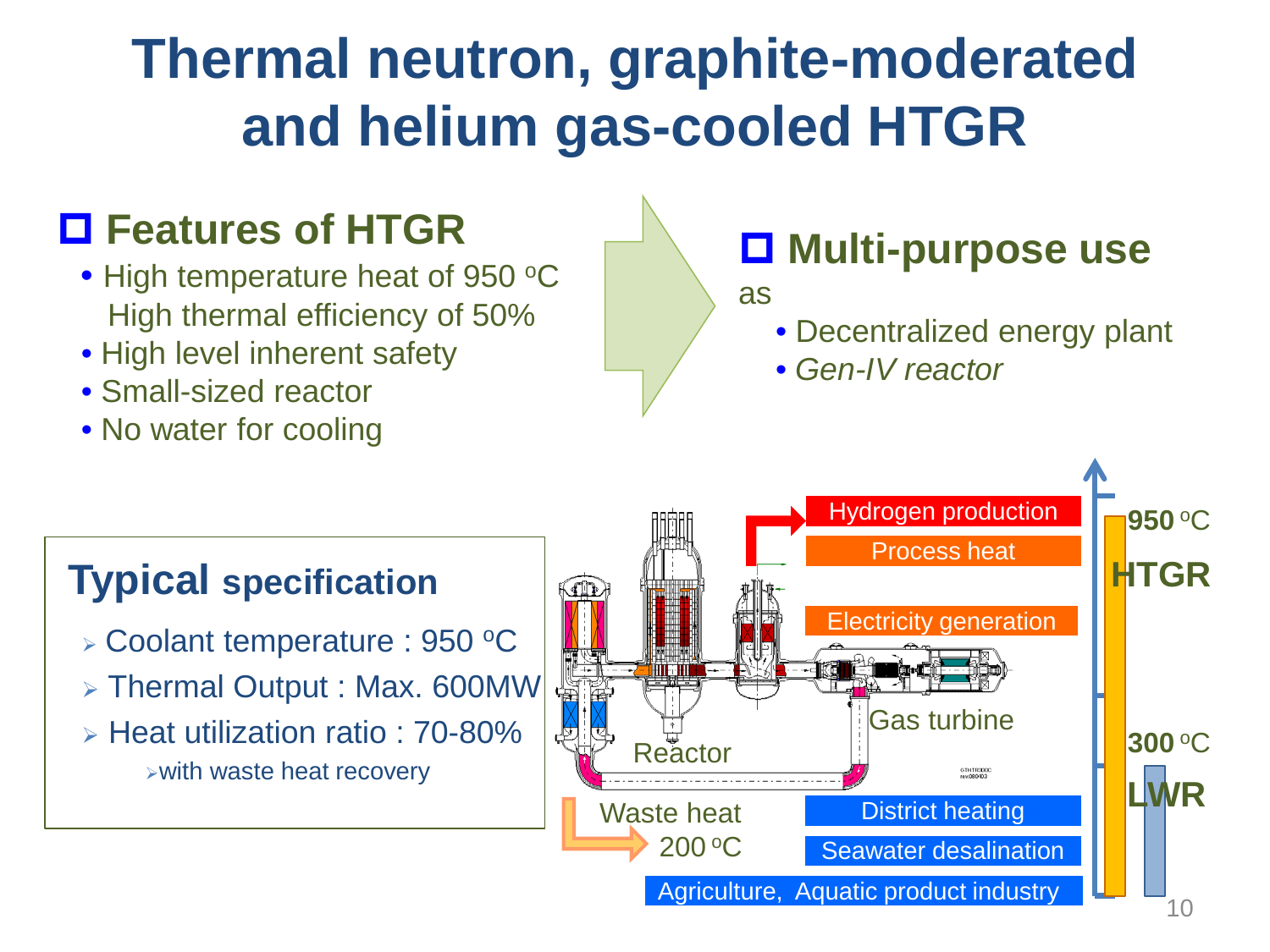## **Thermal neutron, graphite-moderated and helium gas-cooled HTGR**

### **Features of HTGR**

- High temperature heat of 950 °C High thermal efficiency of 50%
- High level inherent safety
- Small-sized reactor
- No water for cooling

### **Multi-purpose use**

#### as

- Decentralized energy plant
- *Gen-IV reactor*

### **Typical specification**

- $\triangleright$  Coolant temperature : 950 °C
- > Thermal Output : Max. 600MW
- $\triangleright$  Heat utilization ratio : 70-80% with waste heat recovery

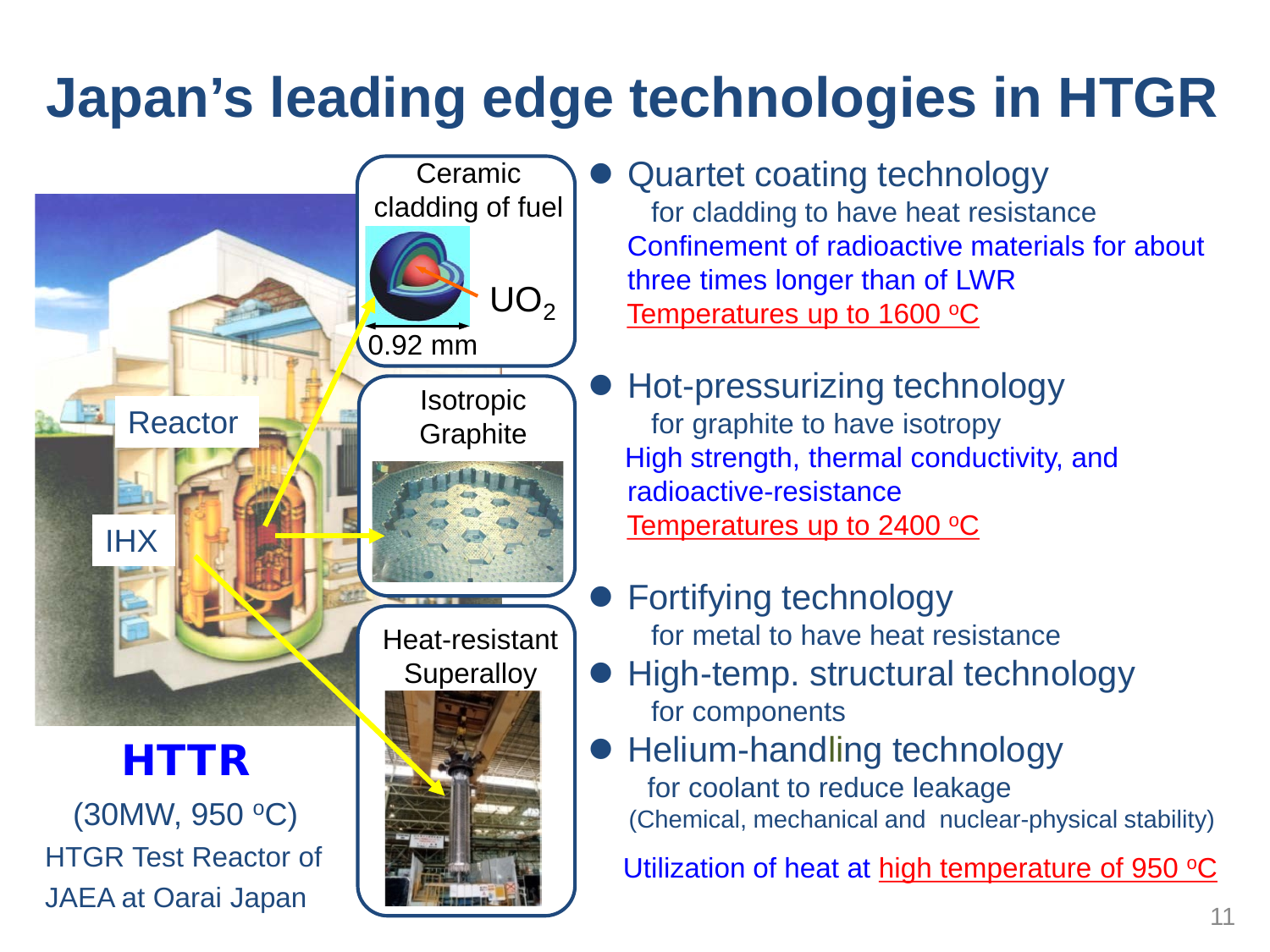## **Japan's leading edge technologies in HTGR**



- Quartet coating technology for cladding to have heat resistance Confinement of radioactive materials for about three times longer than of LWR Temperatures up to  $1600$  °C
- Hot-pressurizing technology for graphite to have isotropy High strength, thermal conductivity, and radioactive-resistance Temperatures up to 2400 °C
- Fortifying technology for metal to have heat resistance
- **High-temp. structural technology** for components
- Helium-handling technology for coolant to reduce leakage (Chemical, mechanical and nuclear-physical stability)

Utilization of heat at high temperature of 950 $\,^{\circ}$ C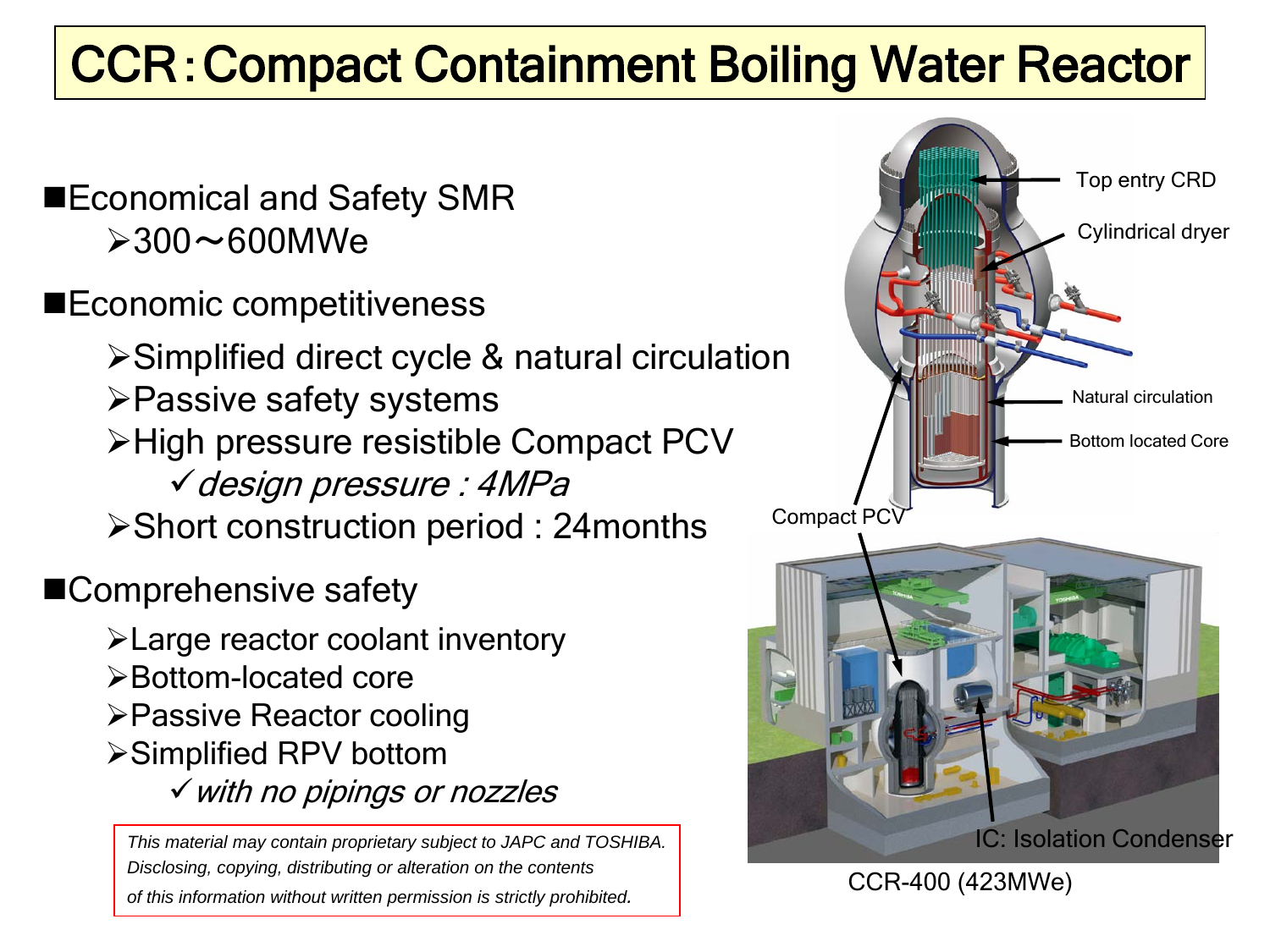## **CCR: Compact Containment Boiling Water Reactor**

- $\geq$ 300 $\sim$ 600MWe
- **■Economic competitiveness**

Simplified direct cycle & natural circulation Passive safety systems ≻High pressure resistible Compact PCV design pressure : 4MPa Short construction period : 24months

■Comprehensive safety

Large reactor coolant inventory Bottom-located core Passive Reactor cooling **≻Simplified RPV bottom** with no pipings or nozzles

*This material may contain proprietary subject to JAPC and TOSHIBA. Disclosing, copying, distributing or alteration on the contents of this information without written permission is strictly prohibited.*

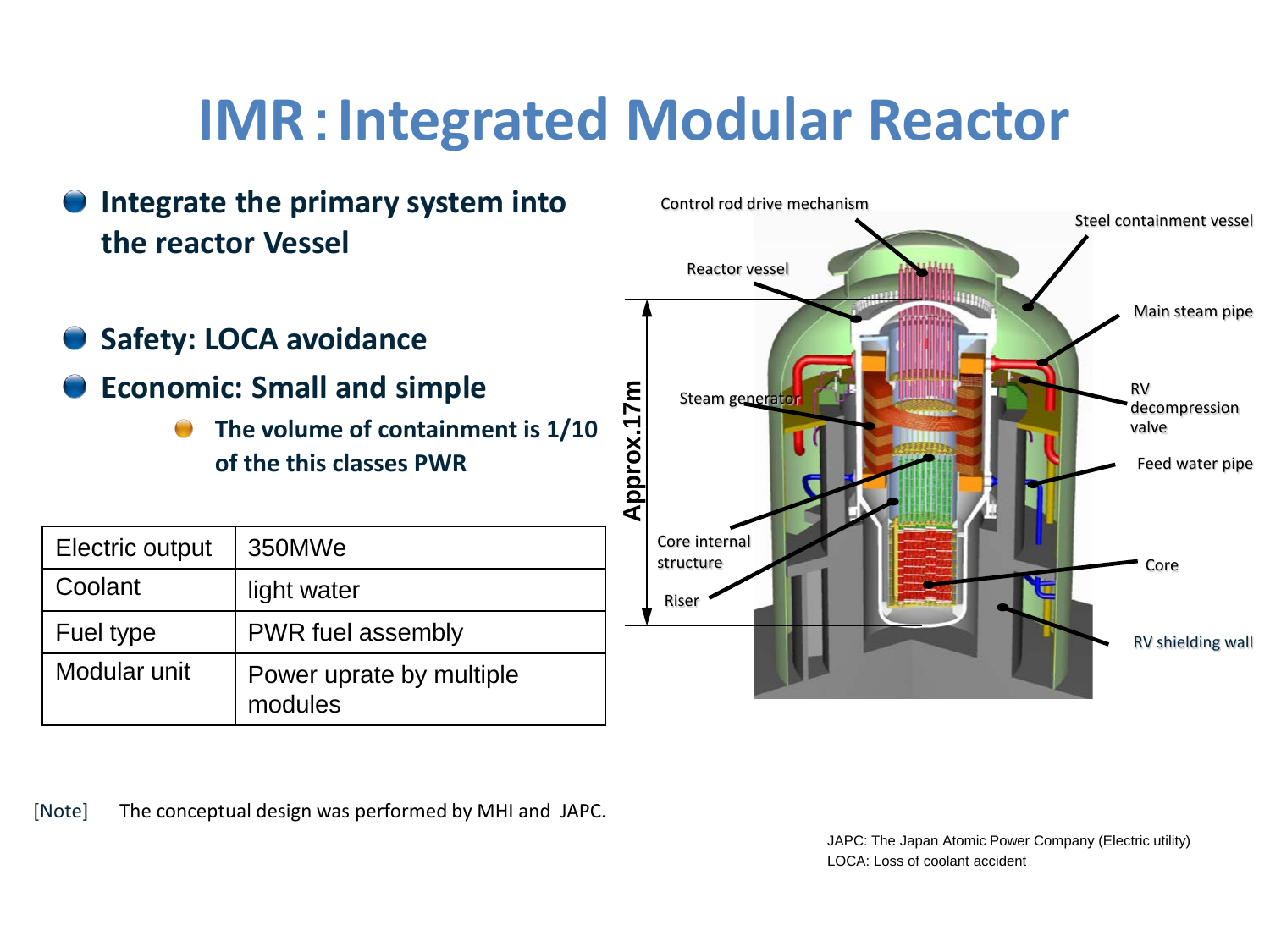## **IMR**:**Integrated Modular Reactor**



[Note] The conceptual design was performed by MHI and JAPC.

JAPC: The Japan Atomic Power Company (Electric utility) LOCA: Loss of coolant accident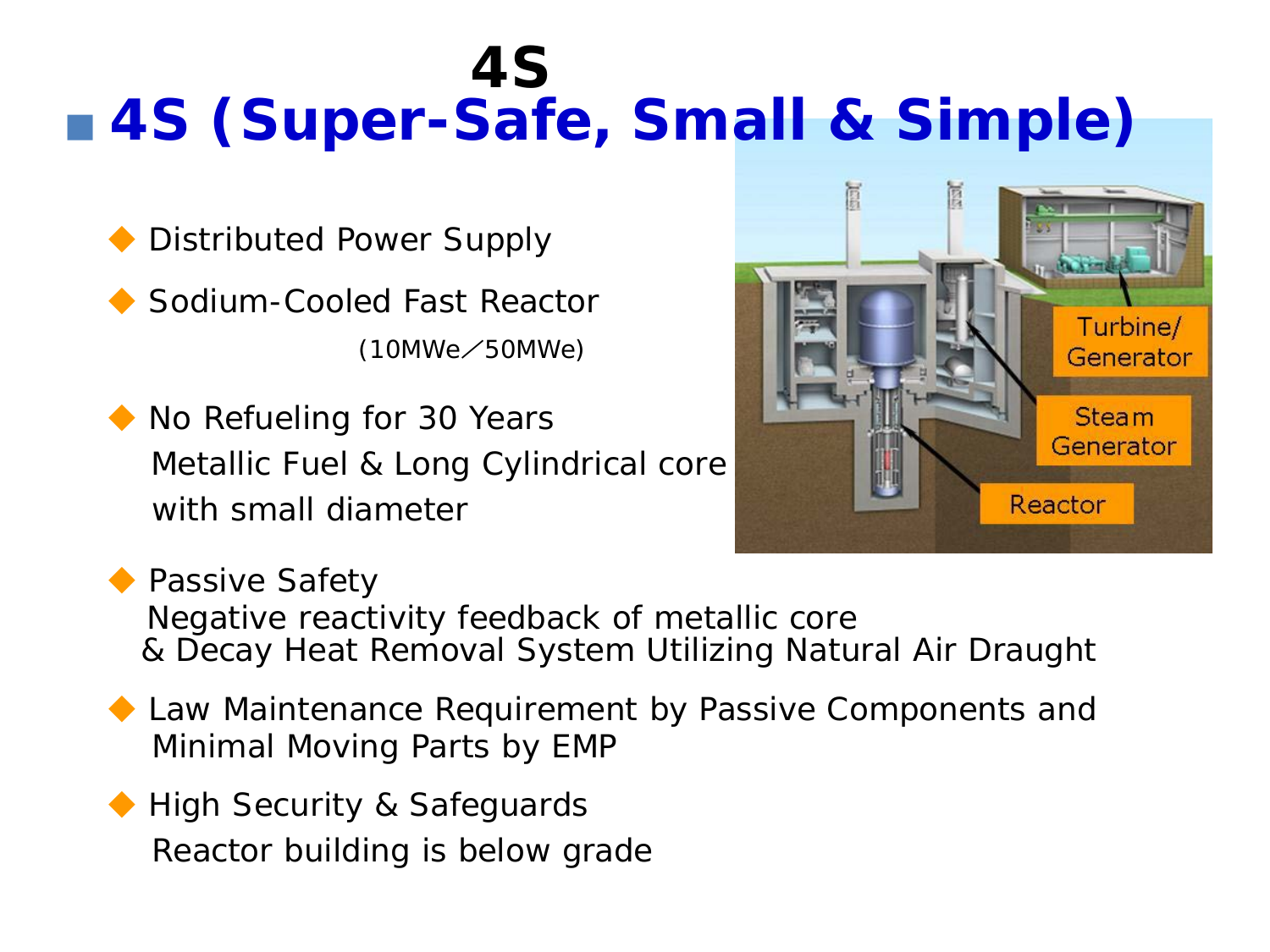## ■ 4S (Super-Safe, Small & Simple) *4S*

Distributed Power Supply

Sodium-Cooled Fast Reactor (10MWe/50MWe)

◆ No Refueling for 30 Years Metallic Fuel & Long Cylindrical core with small diameter



◆ Passive Safety Negative reactivity feedback of metallic core & Decay Heat Removal System Utilizing Natural Air Draught

- ◆ Law Maintenance Requirement by Passive Components and Minimal Moving Parts by EMP
- ◆ High Security & Safeguards Reactor building is below grade